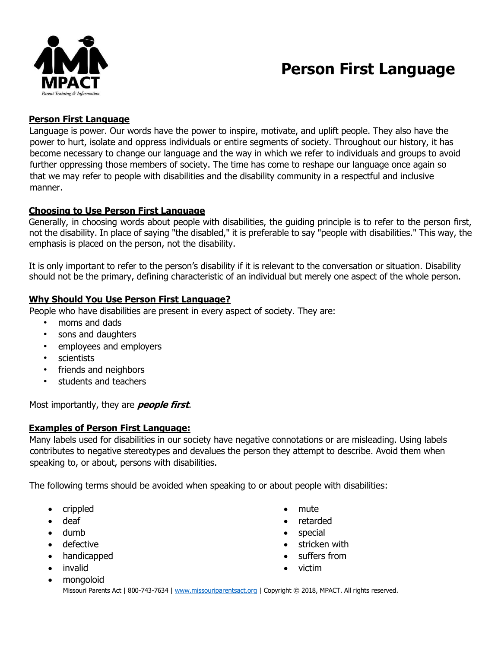

# **Person First Language**

#### **Person First Language**

Language is power. Our words have the power to inspire, motivate, and uplift people. They also have the power to hurt, isolate and oppress individuals or entire segments of society. Throughout our history, it has become necessary to change our language and the way in which we refer to individuals and groups to avoid further oppressing those members of society. The time has come to reshape our language once again so that we may refer to people with disabilities and the disability community in a respectful and inclusive manner.

#### **Choosing to Use Person First Language**

Generally, in choosing words about people with disabilities, the guiding principle is to refer to the person first, not the disability. In place of saying "the disabled," it is preferable to say "people with disabilities." This way, the emphasis is placed on the person, not the disability.

It is only important to refer to the person's disability if it is relevant to the conversation or situation. Disability should not be the primary, defining characteristic of an individual but merely one aspect of the whole person.

### **Why Should You Use Person First Language?**

People who have disabilities are present in every aspect of society. They are:

- moms and dads
- sons and daughters
- employees and employers
- scientists
- friends and neighbors
- students and teachers

Most importantly, they are **people first**.

### **Examples of Person First Language:**

Many labels used for disabilities in our society have negative connotations or are misleading. Using labels contributes to negative stereotypes and devalues the person they attempt to describe. Avoid them when speaking to, or about, persons with disabilities.

The following terms should be avoided when speaking to or about people with disabilities:

- crippled
- deaf
- dumb
- defective
- handicapped
- invalid
- mongoloid
- mute
- retarded
- **special**
- stricken with
- suffers from
- victim

Missouri Parents Act | 800-743-7634 | www.missouriparentsact.org | Copyright © 2018, MPACT. All rights reserved.